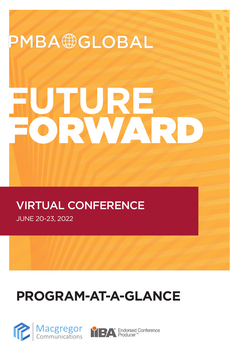

# **PROGRAM-AT-A-GLANCE**